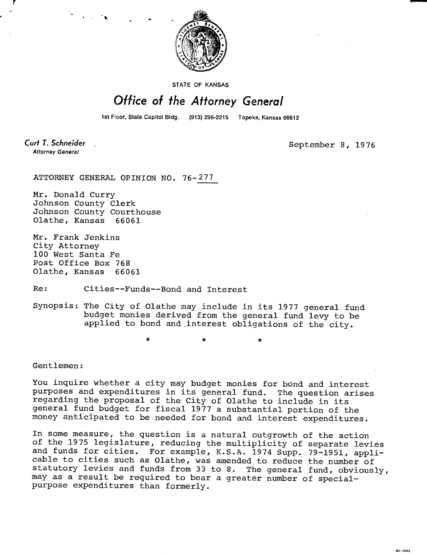

STATE OF KANSAS

## Office of the Attorney General

1st Floor, State Capitol Bldg. (913) 296-2215 Topeka, Kansas 66612

Curt T. Schneider **Attorney General** 

September 8, 1976

EP01-1M

ATTORNEY GENERAL OPINION NO. 76-277

Mr. Donald Curry Johnson County Clerk Johnson County Courthouse Olathe, Kansas 66061

Mr. Frank Jenkins City Attorney 100 West Santa Fe Post Office Box 768 Olathe, Kansas 66061

Re: Cities--Funds--Bond and Interest

 $\bullet$ 

Synopsis: The City of Olathe may include in its 1977 general fund budget monies derived from the general fund levy to be applied to bond and interest obligations of the city.

Gentlemen:

You inquire whether a city may budget monies for bond and interest purposes and expenditures in its general fund. The question arises regarding the proposal of the City of Olathe to include in its general fund budget for fiscal 1977 a substantial portion of the money anticipated to be needed for bond and interest expenditures.

In some measure, the question is a natural outgrowth of the action of the 1975 legislature, reducing the multiplicity of separate levies and funds for cities. For example, K.S.A. 1974 Supp. 79-1951, applicable to cities such as Olathe, was amended to reduce the number of statutory levies and funds from 33 to 8. The general fund, obviously, may as a result be required to bear a greater number of specialpurpose expenditures than formerly.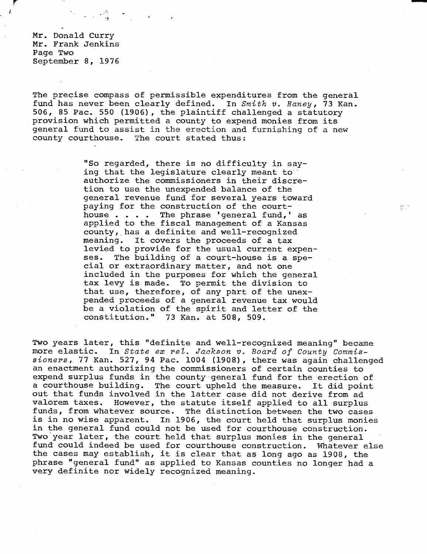Mr. Donald Curry Mr. Frank Jenkins Page Two September 8, 1976

The precise compass of permissible expenditures from the general fund has never been clearly defined. In Smith v. Haney, 73 Kan. 506, 85 Pac. 550 (1906), the plaintiff challenged a statutory provision which permitted a county to expend monies from its general fund to assist in the erection and furnishing of a new county courthouse. The court stated thus:

> "So regarded, there is no difficulty in saying that the legislature clearly meant to authorize the commissioners in their discretion to use the unexpended balance of the general revenue fund for several years toward paying for the construction of the courthouse . . . . The phrase 'general fund,' as applied to the fiscal management of a Kansas county, has a definite and well-recognized meaning. It covers the proceeds of a tax levied to provide for the usual current expenses. The building of a court-house is a special or extraordinary matter, and not one included in the purposes for which the general tax levy is made. To permit the division to that use, therefore, of any part of the unexpended proceeds of a general revenue tax would be a violation of the spirit and letter of the constitution." 73 Kan. at 508, 509.

es in

Two years later, this "definite and well-recognized meaning" became more elastic. In State ex rel. Jackson v. Board of County Commissioners, 77 Kan. 527, 94 Pac. 1004 (1908), there was again challenged an enactment authorizing the commissioners of certain counties to expend surplus funds in the county general fund for the erection of a courthouse building. The court upheld the measure. It did point out that funds involved in the latter case did not derive from ad valorem taxes. However, the statute itself applied to all surplus funds, from whatever source. The distinction between the two cases is in no wise apparent. In 1906, the court held that surplus monies in the general fund could not be used for courthouse construction. Two year later, the court held that surplus monies in the general fund could indeed be used for courthouse construction. Whatever else the cases may establish, it is clear that as long ago as 1908, the phrase "general fund" as applied to Kansas counties no longer had a very definite nor widely recognized meaning.